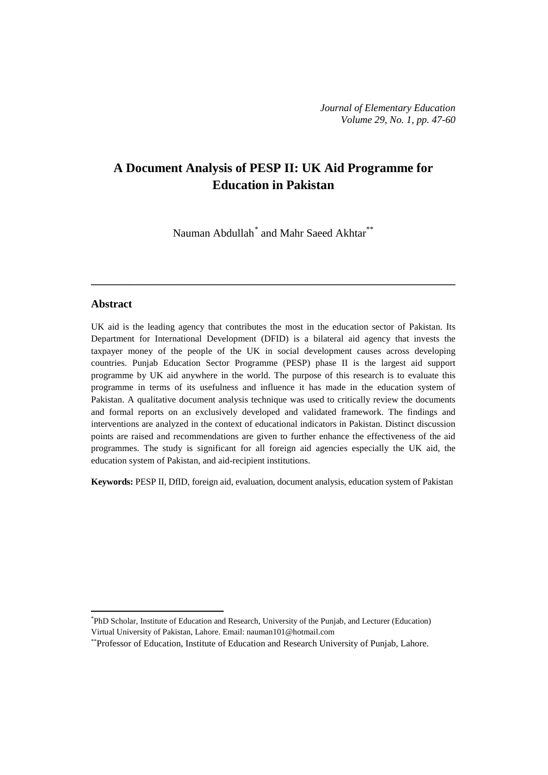# **A Document Analysis of PESP II: UK Aid Programme for Education in Pakistan**

Nauman Abdullah<sup>[\\*](#page-0-0)</sup> and Mahr Saeed Akhtar<sup>\*\*</sup>

**\_\_\_\_\_\_\_\_\_\_\_\_\_\_\_\_\_\_\_\_\_\_\_\_\_\_\_\_\_\_\_\_\_\_\_\_\_\_\_\_\_\_\_\_\_\_\_\_\_\_\_\_\_\_\_\_\_\_\_\_\_\_\_\_\_\_**

#### **Abstract**

**.** 

UK aid is the leading agency that contributes the most in the education sector of Pakistan. Its Department for International Development (DFID) is a bilateral aid agency that invests the taxpayer money of the people of the UK in social development causes across developing countries. Punjab Education Sector Programme (PESP) phase II is the largest aid support programme by UK aid anywhere in the world. The purpose of this research is to evaluate this programme in terms of its usefulness and influence it has made in the education system of Pakistan. A qualitative document analysis technique was used to critically review the documents and formal reports on an exclusively developed and validated framework. The findings and interventions are analyzed in the context of educational indicators in Pakistan. Distinct discussion points are raised and recommendations are given to further enhance the effectiveness of the aid programmes. The study is significant for all foreign aid agencies especially the UK aid, the education system of Pakistan, and aid-recipient institutions.

**Keywords:** PESP II, DfID, foreign aid, evaluation, document analysis, education system of Pakistan

<span id="page-0-0"></span><sup>\*</sup> PhD Scholar, Institute of Education and Research, University of the Punjab, and Lecturer (Education) Virtual University of Pakistan, Lahore. Email: [nauman101@hotmail.com](mailto:nauman101@hotmail.com)

<sup>\*\*</sup>Professor of Education, Institute of Education and Research University of Punjab, Lahore.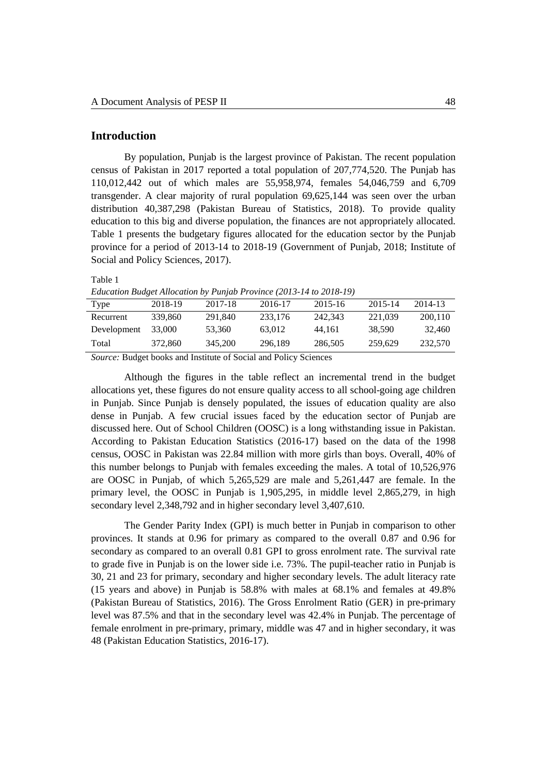# **Introduction**

By population, Punjab is the largest province of Pakistan. The recent population census of Pakistan in 2017 reported a total population of 207,774,520. The Punjab has 110,012,442 out of which males are 55,958,974, females 54,046,759 and 6,709 transgender. A clear majority of rural population 69,625,144 was seen over the urban distribution 40,387,298 (Pakistan Bureau of Statistics, 2018). To provide quality education to this big and diverse population, the finances are not appropriately allocated. Table 1 presents the budgetary figures allocated for the education sector by the Punjab province for a period of 2013-14 to 2018-19 (Government of Punjab, 2018; Institute of Social and Policy Sciences, 2017).

Table 1

*Education Budget Allocation by Punjab Province (2013-14 to 2018-19)*

| <b>Type</b> | 2018-19 | 2017-18 | 2016-17 | 2015-16 | 2015-14 | 2014-13 |
|-------------|---------|---------|---------|---------|---------|---------|
| Recurrent   | 339,860 | 291.840 | 233,176 | 242.343 | 221.039 | 200.110 |
| Development | 33,000  | 53.360  | 63,012  | 44.161  | 38,590  | 32,460  |
| Total       | 372,860 | 345,200 | 296.189 | 286.505 | 259.629 | 232,570 |

*Source:* Budget books and Institute of Social and Policy Sciences

Although the figures in the table reflect an incremental trend in the budget allocations yet, these figures do not ensure quality access to all school-going age children in Punjab. Since Punjab is densely populated, the issues of education quality are also dense in Punjab. A few crucial issues faced by the education sector of Punjab are discussed here. Out of School Children (OOSC) is a long withstanding issue in Pakistan. According to Pakistan Education Statistics (2016-17) based on the data of the 1998 census, OOSC in Pakistan was 22.84 million with more girls than boys. Overall, 40% of this number belongs to Punjab with females exceeding the males. A total of 10,526,976 are OOSC in Punjab, of which 5,265,529 are male and 5,261,447 are female. In the primary level, the OOSC in Punjab is 1,905,295, in middle level 2,865,279, in high secondary level 2,348,792 and in higher secondary level 3,407,610.

The Gender Parity Index (GPI) is much better in Punjab in comparison to other provinces. It stands at 0.96 for primary as compared to the overall 0.87 and 0.96 for secondary as compared to an overall 0.81 GPI to gross enrolment rate. The survival rate to grade five in Punjab is on the lower side i.e. 73%. The pupil-teacher ratio in Punjab is 30, 21 and 23 for primary, secondary and higher secondary levels. The adult literacy rate (15 years and above) in Punjab is 58.8% with males at 68.1% and females at 49.8% (Pakistan Bureau of Statistics, 2016). The Gross Enrolment Ratio (GER) in pre-primary level was 87.5% and that in the secondary level was 42.4% in Punjab. The percentage of female enrolment in pre-primary, primary, middle was 47 and in higher secondary, it was 48 (Pakistan Education Statistics, 2016-17).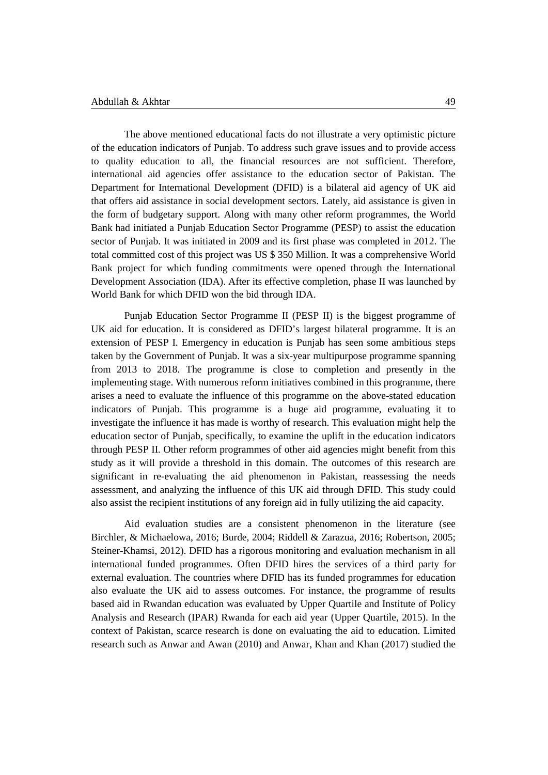The above mentioned educational facts do not illustrate a very optimistic picture of the education indicators of Punjab. To address such grave issues and to provide access to quality education to all, the financial resources are not sufficient. Therefore, international aid agencies offer assistance to the education sector of Pakistan. The Department for International Development (DFID) is a bilateral aid agency of UK aid that offers aid assistance in social development sectors. Lately, aid assistance is given in the form of budgetary support. Along with many other reform programmes, the World Bank had initiated a Punjab Education Sector Programme (PESP) to assist the education sector of Punjab. It was initiated in 2009 and its first phase was completed in 2012. The total committed cost of this project was US \$ 350 Million. It was a comprehensive World Bank project for which funding commitments were opened through the International Development Association (IDA). After its effective completion, phase II was launched by World Bank for which DFID won the bid through IDA.

Punjab Education Sector Programme II (PESP II) is the biggest programme of UK aid for education. It is considered as DFID's largest bilateral programme. It is an extension of PESP I. Emergency in education is Punjab has seen some ambitious steps taken by the Government of Punjab. It was a six-year multipurpose programme spanning from 2013 to 2018. The programme is close to completion and presently in the implementing stage. With numerous reform initiatives combined in this programme, there arises a need to evaluate the influence of this programme on the above-stated education indicators of Punjab. This programme is a huge aid programme, evaluating it to investigate the influence it has made is worthy of research. This evaluation might help the education sector of Punjab, specifically, to examine the uplift in the education indicators through PESP II. Other reform programmes of other aid agencies might benefit from this study as it will provide a threshold in this domain. The outcomes of this research are significant in re-evaluating the aid phenomenon in Pakistan, reassessing the needs assessment, and analyzing the influence of this UK aid through DFID. This study could also assist the recipient institutions of any foreign aid in fully utilizing the aid capacity.

Aid evaluation studies are a consistent phenomenon in the literature (see Birchler, & Michaelowa, 2016; Burde, 2004; Riddell & Zarazua, 2016; Robertson, 2005; Steiner-Khamsi, 2012). DFID has a rigorous monitoring and evaluation mechanism in all international funded programmes. Often DFID hires the services of a third party for external evaluation. The countries where DFID has its funded programmes for education also evaluate the UK aid to assess outcomes. For instance, the programme of results based aid in Rwandan education was evaluated by Upper Quartile and Institute of Policy Analysis and Research (IPAR) Rwanda for each aid year (Upper Quartile, 2015). In the context of Pakistan, scarce research is done on evaluating the aid to education. Limited research such as Anwar and Awan (2010) and Anwar, Khan and Khan (2017) studied the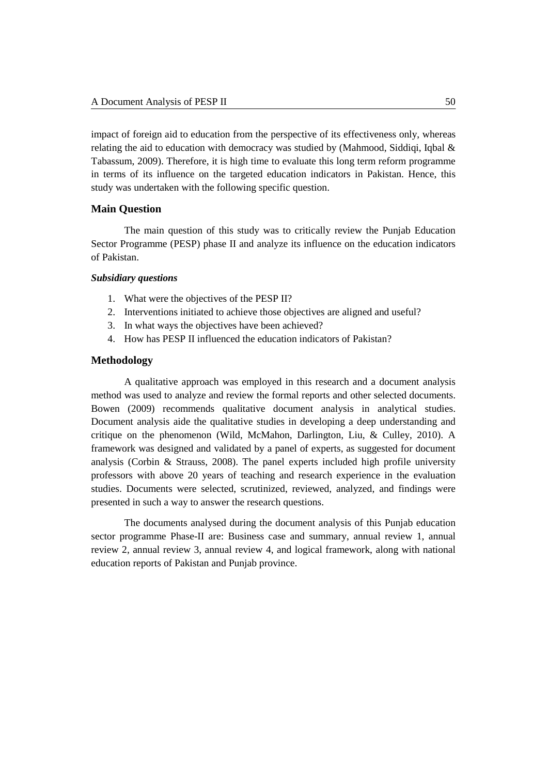impact of foreign aid to education from the perspective of its effectiveness only, whereas relating the aid to education with democracy was studied by (Mahmood, Siddiqi, Iqbal  $\&$ Tabassum, 2009). Therefore, it is high time to evaluate this long term reform programme in terms of its influence on the targeted education indicators in Pakistan. Hence, this study was undertaken with the following specific question.

## **Main Question**

The main question of this study was to critically review the Punjab Education Sector Programme (PESP) phase II and analyze its influence on the education indicators of Pakistan.

#### *Subsidiary questions*

- 1. What were the objectives of the PESP II?
- 2. Interventions initiated to achieve those objectives are aligned and useful?
- 3. In what ways the objectives have been achieved?
- 4. How has PESP II influenced the education indicators of Pakistan?

#### **Methodology**

A qualitative approach was employed in this research and a document analysis method was used to analyze and review the formal reports and other selected documents. Bowen (2009) recommends qualitative document analysis in analytical studies. Document analysis aide the qualitative studies in developing a deep understanding and critique on the phenomenon (Wild, McMahon, Darlington, Liu, & Culley, 2010). A framework was designed and validated by a panel of experts, as suggested for document analysis (Corbin & Strauss, 2008). The panel experts included high profile university professors with above 20 years of teaching and research experience in the evaluation studies. Documents were selected, scrutinized, reviewed, analyzed, and findings were presented in such a way to answer the research questions.

The documents analysed during the document analysis of this Punjab education sector programme Phase-II are: Business case and summary, annual review 1, annual review 2, annual review 3, annual review 4, and logical framework, along with national education reports of Pakistan and Punjab province.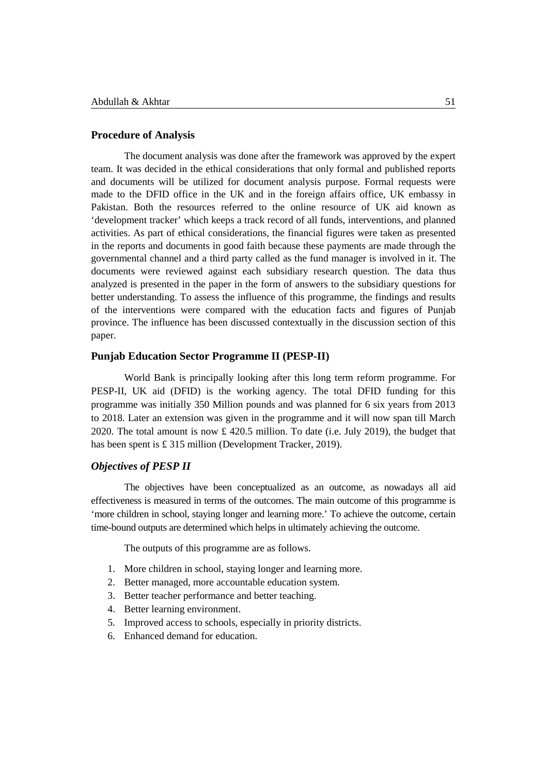### **Procedure of Analysis**

The document analysis was done after the framework was approved by the expert team. It was decided in the ethical considerations that only formal and published reports and documents will be utilized for document analysis purpose. Formal requests were made to the DFID office in the UK and in the foreign affairs office, UK embassy in Pakistan. Both the resources referred to the online resource of UK aid known as 'development tracker' which keeps a track record of all funds, interventions, and planned activities. As part of ethical considerations, the financial figures were taken as presented in the reports and documents in good faith because these payments are made through the governmental channel and a third party called as the fund manager is involved in it. The documents were reviewed against each subsidiary research question. The data thus analyzed is presented in the paper in the form of answers to the subsidiary questions for better understanding. To assess the influence of this programme, the findings and results of the interventions were compared with the education facts and figures of Punjab province. The influence has been discussed contextually in the discussion section of this paper.

### **Punjab Education Sector Programme II (PESP-II)**

World Bank is principally looking after this long term reform programme. For PESP-II, UK aid (DFID) is the working agency. The total DFID funding for this programme was initially 350 Million pounds and was planned for 6 six years from 2013 to 2018. Later an extension was given in the programme and it will now span till March 2020. The total amount is now  $\pounds$  420.5 million. To date (i.e. July 2019), the budget that has been spent is £ 315 million (Development Tracker, 2019).

# *Objectives of PESP II*

The objectives have been conceptualized as an outcome, as nowadays all aid effectiveness is measured in terms of the outcomes. The main outcome of this programme is 'more children in school, staying longer and learning more.' To achieve the outcome, certain time-bound outputs are determined which helps in ultimately achieving the outcome.

The outputs of this programme are as follows.

- 1. More children in school, staying longer and learning more.
- 2. Better managed, more accountable education system.
- 3. Better teacher performance and better teaching.
- 4. Better learning environment.
- 5. Improved access to schools, especially in priority districts.
- 6. Enhanced demand for education.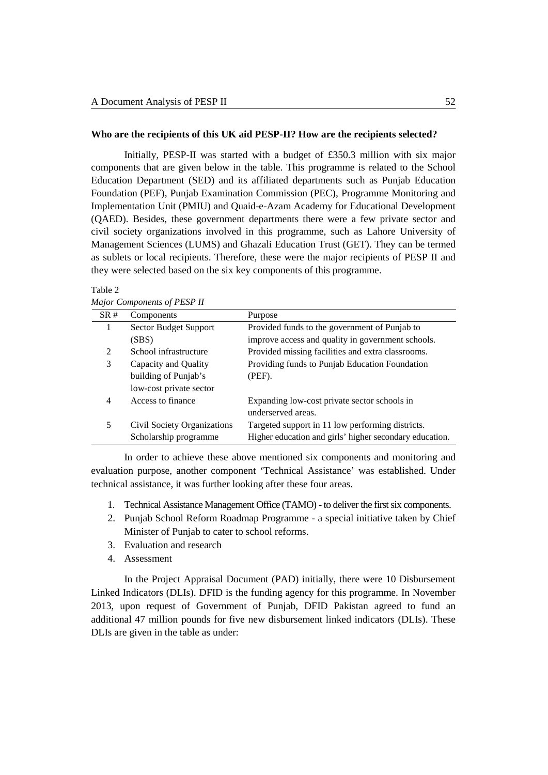#### **Who are the recipients of this UK aid PESP-II? How are the recipients selected?**

Initially, PESP-II was started with a budget of £350.3 million with six major components that are given below in the table. This programme is related to the School Education Department (SED) and its affiliated departments such as Punjab Education Foundation (PEF), Punjab Examination Commission (PEC), Programme Monitoring and Implementation Unit (PMIU) and Quaid-e-Azam Academy for Educational Development (QAED). Besides, these government departments there were a few private sector and civil society organizations involved in this programme, such as Lahore University of Management Sciences (LUMS) and Ghazali Education Trust (GET). They can be termed as sublets or local recipients. Therefore, these were the major recipients of PESP II and they were selected based on the six key components of this programme.

| SR# | Components                  | Purpose                                                 |  |  |
|-----|-----------------------------|---------------------------------------------------------|--|--|
|     | Sector Budget Support       | Provided funds to the government of Punjab to           |  |  |
|     | (SBS)                       | improve access and quality in government schools.       |  |  |
| 2   | School infrastructure       | Provided missing facilities and extra classrooms.       |  |  |
| 3   | Capacity and Quality        | Providing funds to Punjab Education Foundation          |  |  |
|     | building of Punjab's        | (PEF).                                                  |  |  |
|     | low-cost private sector     |                                                         |  |  |
| 4   | Access to finance           | Expanding low-cost private sector schools in            |  |  |
|     |                             | underserved areas.                                      |  |  |
| 5   | Civil Society Organizations | Targeted support in 11 low performing districts.        |  |  |
|     | Scholarship programme       | Higher education and girls' higher secondary education. |  |  |

*Major Components of PESP II*

Table 2

In order to achieve these above mentioned six components and monitoring and evaluation purpose, another component 'Technical Assistance' was established. Under technical assistance, it was further looking after these four areas.

- 1. Technical Assistance Management Office (TAMO) to deliver the first six components.
- 2. Punjab School Reform Roadmap Programme a special initiative taken by Chief Minister of Punjab to cater to school reforms.
- 3. Evaluation and research
- 4. Assessment

In the Project Appraisal Document (PAD) initially, there were 10 Disbursement Linked Indicators (DLIs). DFID is the funding agency for this programme. In November 2013, upon request of Government of Punjab, DFID Pakistan agreed to fund an additional 47 million pounds for five new disbursement linked indicators (DLIs). These DLIs are given in the table as under: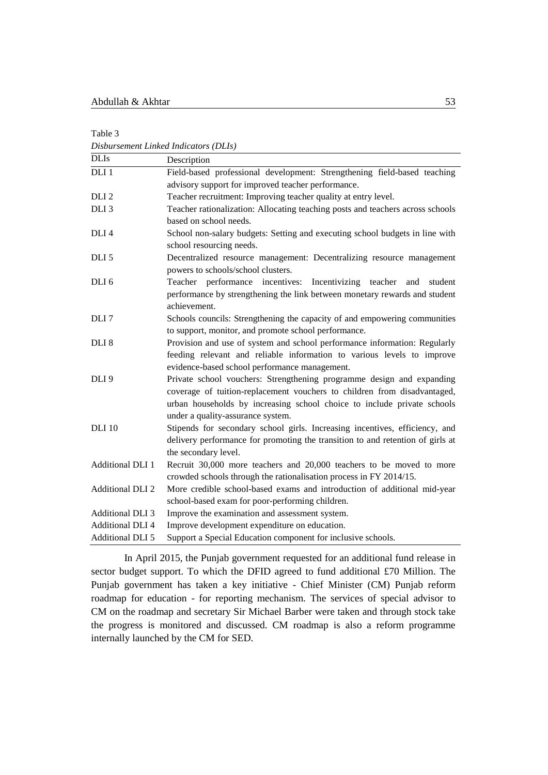Table 3

*Disbursement Linked Indicators (DLIs)* DLIs Description DLI 1 Field-based professional development: Strengthening field-based teaching advisory support for improved teacher performance. DLI 2 Teacher recruitment: Improving teacher quality at entry level. DLI 3 Teacher rationalization: Allocating teaching posts and teachers across schools based on school needs. DLI 4 School non-salary budgets: Setting and executing school budgets in line with school resourcing needs. DLI 5 Decentralized resource management: Decentralizing resource management powers to schools/school clusters. DLI 6 Teacher performance incentives: Incentivizing teacher and student performance by strengthening the link between monetary rewards and student achievement. DLI 7 Schools councils: Strengthening the capacity of and empowering communities to support, monitor, and promote school performance. DLI 8 Provision and use of system and school performance information: Regularly feeding relevant and reliable information to various levels to improve evidence-based school performance management. DLI 9 Private school vouchers: Strengthening programme design and expanding coverage of tuition-replacement vouchers to children from disadvantaged, urban households by increasing school choice to include private schools under a quality-assurance system. DLI 10 Stipends for secondary school girls. Increasing incentives, efficiency, and delivery performance for promoting the transition to and retention of girls at the secondary level. Additional DLI 1 Recruit 30,000 more teachers and 20,000 teachers to be moved to more crowded schools through the rationalisation process in FY 2014/15. Additional DLI 2 More credible school-based exams and introduction of additional mid-year school-based exam for poor-performing children. Additional DLI 3 Improve the examination and assessment system. Additional DLI 4 Improve development expenditure on education. Additional DLI 5 Support a Special Education component for inclusive schools.

In April 2015, the Punjab government requested for an additional fund release in sector budget support. To which the DFID agreed to fund additional £70 Million. The Punjab government has taken a key initiative - Chief Minister (CM) Punjab reform roadmap for education - for reporting mechanism. The services of special advisor to CM on the roadmap and secretary Sir Michael Barber were taken and through stock take the progress is monitored and discussed. CM roadmap is also a reform programme internally launched by the CM for SED.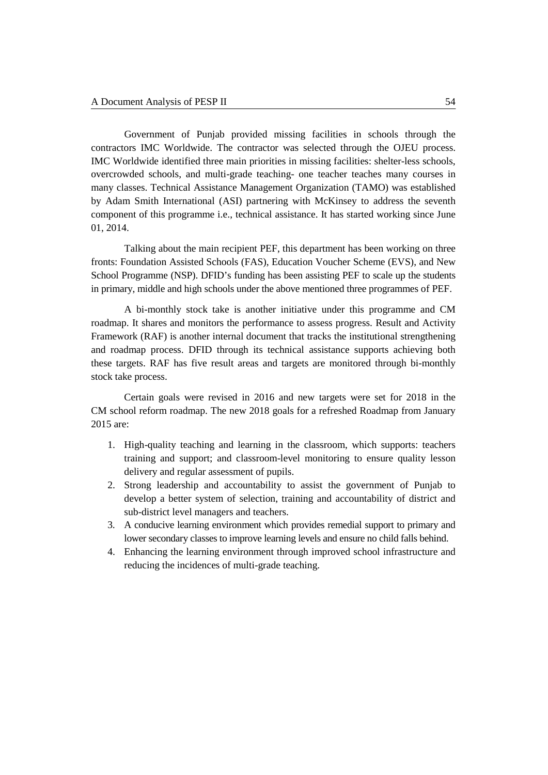Government of Punjab provided missing facilities in schools through the contractors IMC Worldwide. The contractor was selected through the OJEU process. IMC Worldwide identified three main priorities in missing facilities: shelter-less schools, overcrowded schools, and multi-grade teaching- one teacher teaches many courses in many classes. Technical Assistance Management Organization (TAMO) was established by Adam Smith International (ASI) partnering with McKinsey to address the seventh component of this programme i.e., technical assistance. It has started working since June 01, 2014.

Talking about the main recipient PEF, this department has been working on three fronts: Foundation Assisted Schools (FAS), Education Voucher Scheme (EVS), and New School Programme (NSP). DFID's funding has been assisting PEF to scale up the students in primary, middle and high schools under the above mentioned three programmes of PEF.

A bi-monthly stock take is another initiative under this programme and CM roadmap. It shares and monitors the performance to assess progress. Result and Activity Framework (RAF) is another internal document that tracks the institutional strengthening and roadmap process. DFID through its technical assistance supports achieving both these targets. RAF has five result areas and targets are monitored through bi-monthly stock take process.

Certain goals were revised in 2016 and new targets were set for 2018 in the CM school reform roadmap. The new 2018 goals for a refreshed Roadmap from January 2015 are:

- 1. High-quality teaching and learning in the classroom, which supports: teachers training and support; and classroom-level monitoring to ensure quality lesson delivery and regular assessment of pupils.
- 2. Strong leadership and accountability to assist the government of Punjab to develop a better system of selection, training and accountability of district and sub-district level managers and teachers.
- 3. A conducive learning environment which provides remedial support to primary and lower secondary classes to improve learning levels and ensure no child falls behind.
- 4. Enhancing the learning environment through improved school infrastructure and reducing the incidences of multi-grade teaching.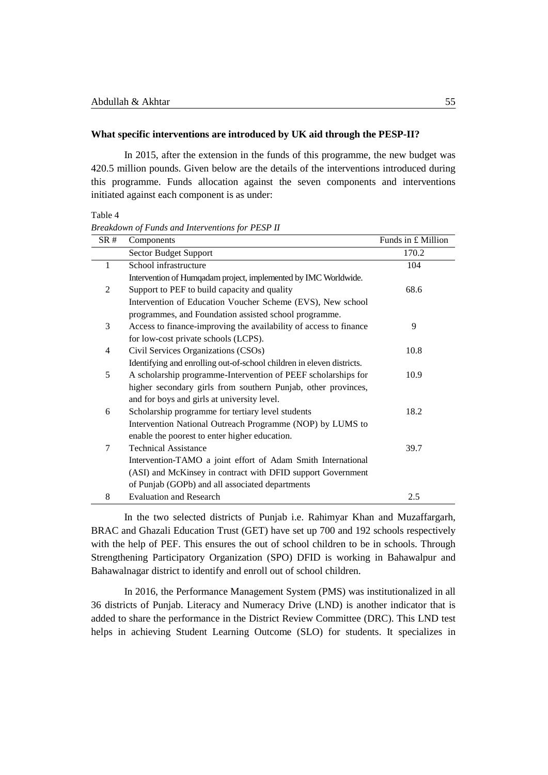#### **What specific interventions are introduced by UK aid through the PESP-II?**

In 2015, after the extension in the funds of this programme, the new budget was 420.5 million pounds. Given below are the details of the interventions introduced during this programme. Funds allocation against the seven components and interventions initiated against each component is as under:

Table 4

*Breakdown of Funds and Interventions for PESP II*

| SR#          | Components                                                            | Funds in $£$ Million |
|--------------|-----------------------------------------------------------------------|----------------------|
|              | <b>Sector Budget Support</b>                                          | 170.2                |
| $\mathbf{1}$ | School infrastructure                                                 | 104                  |
|              | Intervention of Humqadam project, implemented by IMC Worldwide.       |                      |
| 2            | Support to PEF to build capacity and quality                          | 68.6                 |
|              | Intervention of Education Voucher Scheme (EVS), New school            |                      |
|              | programmes, and Foundation assisted school programme.                 |                      |
| 3            | Access to finance-improving the availability of access to finance     | 9                    |
|              | for low-cost private schools (LCPS).                                  |                      |
| 4            | Civil Services Organizations (CSOs)                                   | 10.8                 |
|              | Identifying and enrolling out-of-school children in eleven districts. |                      |
| 5            | A scholarship programme-Intervention of PEEF scholarships for         | 10.9                 |
|              | higher secondary girls from southern Punjab, other provinces,         |                      |
|              | and for boys and girls at university level.                           |                      |
| 6            | Scholarship programme for tertiary level students                     | 18.2                 |
|              | Intervention National Outreach Programme (NOP) by LUMS to             |                      |
|              | enable the poorest to enter higher education.                         |                      |
| 7            | <b>Technical Assistance</b>                                           | 39.7                 |
|              | Intervention-TAMO a joint effort of Adam Smith International          |                      |
|              | (ASI) and McKinsey in contract with DFID support Government           |                      |
|              | of Punjab (GOPb) and all associated departments                       |                      |
| 8            | <b>Evaluation and Research</b>                                        | 2.5                  |

In the two selected districts of Punjab i.e. Rahimyar Khan and Muzaffargarh, BRAC and Ghazali Education Trust (GET) have set up 700 and 192 schools respectively with the help of PEF. This ensures the out of school children to be in schools. Through Strengthening Participatory Organization (SPO) DFID is working in Bahawalpur and Bahawalnagar district to identify and enroll out of school children.

In 2016, the Performance Management System (PMS) was institutionalized in all 36 districts of Punjab. Literacy and Numeracy Drive (LND) is another indicator that is added to share the performance in the District Review Committee (DRC). This LND test helps in achieving Student Learning Outcome (SLO) for students. It specializes in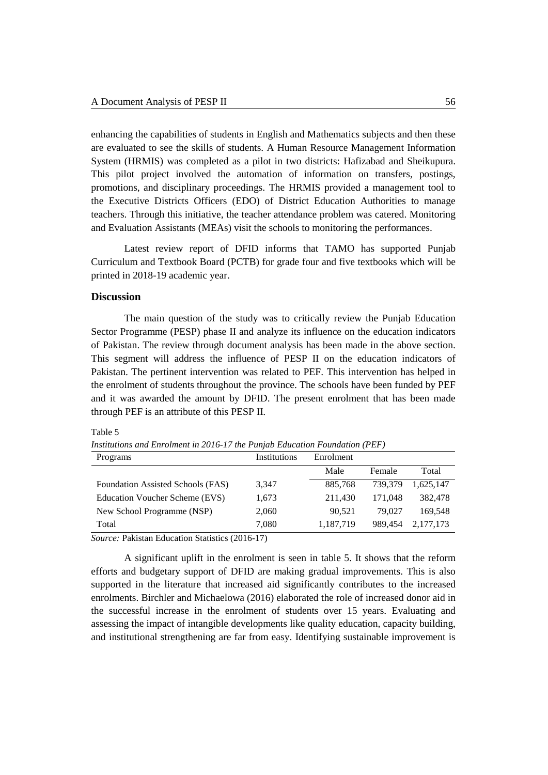enhancing the capabilities of students in English and Mathematics subjects and then these are evaluated to see the skills of students. A Human Resource Management Information System (HRMIS) was completed as a pilot in two districts: Hafizabad and Sheikupura. This pilot project involved the automation of information on transfers, postings, promotions, and disciplinary proceedings. The HRMIS provided a management tool to the Executive Districts Officers (EDO) of District Education Authorities to manage teachers. Through this initiative, the teacher attendance problem was catered. Monitoring and Evaluation Assistants (MEAs) visit the schools to monitoring the performances.

Latest review report of DFID informs that TAMO has supported Punjab Curriculum and Textbook Board (PCTB) for grade four and five textbooks which will be printed in 2018-19 academic year.

## **Discussion**

Table 5

The main question of the study was to critically review the Punjab Education Sector Programme (PESP) phase II and analyze its influence on the education indicators of Pakistan. The review through document analysis has been made in the above section. This segment will address the influence of PESP II on the education indicators of Pakistan. The pertinent intervention was related to PEF. This intervention has helped in the enrolment of students throughout the province. The schools have been funded by PEF and it was awarded the amount by DFID. The present enrolment that has been made through PEF is an attribute of this PESP II.

| Programs                          | Institutions | Enrolment |         |           |
|-----------------------------------|--------------|-----------|---------|-----------|
|                                   |              | Male      | Female  | Total     |
| Foundation Assisted Schools (FAS) | 3.347        | 885,768   | 739.379 | 1.625.147 |
| Education Voucher Scheme (EVS)    | 1,673        | 211.430   | 171.048 | 382,478   |
| New School Programme (NSP)        | 2,060        | 90,521    | 79.027  | 169.548   |
| Total                             | 7,080        | 1,187,719 | 989.454 | 2,177,173 |

*Institutions and Enrolment in 2016-17 the Punjab Education Foundation (PEF)*

*Source:* Pakistan Education Statistics (2016-17)

A significant uplift in the enrolment is seen in table 5. It shows that the reform efforts and budgetary support of DFID are making gradual improvements. This is also supported in the literature that increased aid significantly contributes to the increased enrolments. Birchler and Michaelowa (2016) elaborated the role of increased donor aid in the successful increase in the enrolment of students over 15 years. Evaluating and assessing the impact of intangible developments like quality education, capacity building, and institutional strengthening are far from easy. Identifying sustainable improvement is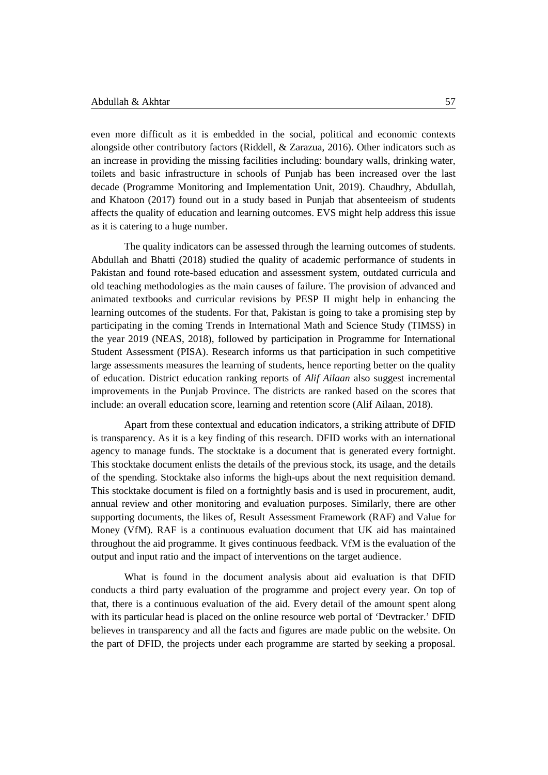even more difficult as it is embedded in the social, political and economic contexts alongside other contributory factors (Riddell, & Zarazua, 2016). Other indicators such as an increase in providing the missing facilities including: boundary walls, drinking water, toilets and basic infrastructure in schools of Punjab has been increased over the last decade (Programme Monitoring and Implementation Unit, 2019). Chaudhry, Abdullah, and Khatoon (2017) found out in a study based in Punjab that absenteeism of students affects the quality of education and learning outcomes. EVS might help address this issue as it is catering to a huge number.

The quality indicators can be assessed through the learning outcomes of students. Abdullah and Bhatti (2018) studied the quality of academic performance of students in Pakistan and found rote-based education and assessment system, outdated curricula and old teaching methodologies as the main causes of failure. The provision of advanced and animated textbooks and curricular revisions by PESP II might help in enhancing the learning outcomes of the students. For that, Pakistan is going to take a promising step by participating in the coming Trends in International Math and Science Study (TIMSS) in the year 2019 (NEAS, 2018), followed by participation in Programme for International Student Assessment (PISA). Research informs us that participation in such competitive large assessments measures the learning of students, hence reporting better on the quality of education. District education ranking reports of *Alif Ailaan* also suggest incremental improvements in the Punjab Province. The districts are ranked based on the scores that include: an overall education score, learning and retention score (Alif Ailaan, 2018).

Apart from these contextual and education indicators, a striking attribute of DFID is transparency. As it is a key finding of this research. DFID works with an international agency to manage funds. The stocktake is a document that is generated every fortnight. This stocktake document enlists the details of the previous stock, its usage, and the details of the spending. Stocktake also informs the high-ups about the next requisition demand. This stocktake document is filed on a fortnightly basis and is used in procurement, audit, annual review and other monitoring and evaluation purposes. Similarly, there are other supporting documents, the likes of, Result Assessment Framework (RAF) and Value for Money (VfM). RAF is a continuous evaluation document that UK aid has maintained throughout the aid programme. It gives continuous feedback. VfM is the evaluation of the output and input ratio and the impact of interventions on the target audience.

What is found in the document analysis about aid evaluation is that DFID conducts a third party evaluation of the programme and project every year. On top of that, there is a continuous evaluation of the aid. Every detail of the amount spent along with its particular head is placed on the online resource web portal of 'Devtracker.' DFID believes in transparency and all the facts and figures are made public on the website. On the part of DFID, the projects under each programme are started by seeking a proposal.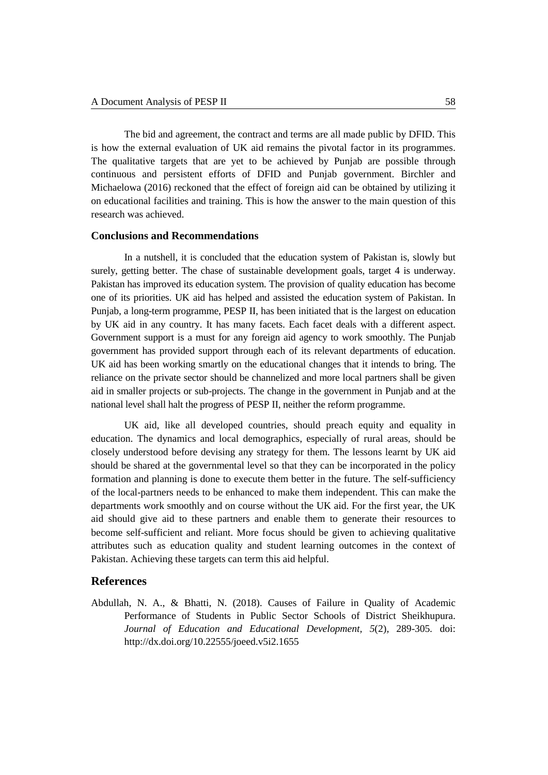The bid and agreement, the contract and terms are all made public by DFID. This is how the external evaluation of UK aid remains the pivotal factor in its programmes. The qualitative targets that are yet to be achieved by Punjab are possible through continuous and persistent efforts of DFID and Punjab government. Birchler and Michaelowa (2016) reckoned that the effect of foreign aid can be obtained by utilizing it on educational facilities and training. This is how the answer to the main question of this research was achieved.

## **Conclusions and Recommendations**

In a nutshell, it is concluded that the education system of Pakistan is, slowly but surely, getting better. The chase of sustainable development goals, target 4 is underway. Pakistan has improved its education system. The provision of quality education has become one of its priorities. UK aid has helped and assisted the education system of Pakistan. In Punjab, a long-term programme, PESP II, has been initiated that is the largest on education by UK aid in any country. It has many facets. Each facet deals with a different aspect. Government support is a must for any foreign aid agency to work smoothly. The Punjab government has provided support through each of its relevant departments of education. UK aid has been working smartly on the educational changes that it intends to bring. The reliance on the private sector should be channelized and more local partners shall be given aid in smaller projects or sub-projects. The change in the government in Punjab and at the national level shall halt the progress of PESP II, neither the reform programme.

UK aid, like all developed countries, should preach equity and equality in education. The dynamics and local demographics, especially of rural areas, should be closely understood before devising any strategy for them. The lessons learnt by UK aid should be shared at the governmental level so that they can be incorporated in the policy formation and planning is done to execute them better in the future. The self-sufficiency of the local-partners needs to be enhanced to make them independent. This can make the departments work smoothly and on course without the UK aid. For the first year, the UK aid should give aid to these partners and enable them to generate their resources to become self-sufficient and reliant. More focus should be given to achieving qualitative attributes such as education quality and student learning outcomes in the context of Pakistan. Achieving these targets can term this aid helpful.

# **References**

Abdullah, N. A., & Bhatti, N. (2018). Causes of Failure in Quality of Academic Performance of Students in Public Sector Schools of District Sheikhupura. *Journal of Education and Educational Development, 5*(2)*,* 289-305*.* doi: <http://dx.doi.org/10.22555/joeed.v5i2.1655>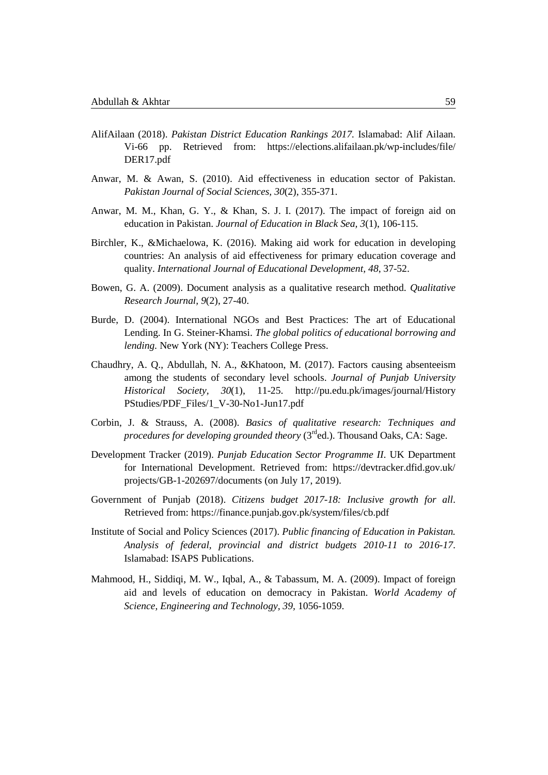- AlifAilaan (2018). *Pakistan District Education Rankings 2017.* Islamabad: Alif Ailaan. Vi-66 pp. Retrieved from: [https://elections.alifailaan.pk/wp-includes/file/](https://elections.alifailaan.pk/wp-includes/file/DER17.pdf) [DER17.pdf](https://elections.alifailaan.pk/wp-includes/file/DER17.pdf)
- Anwar, M. & Awan, S. (2010). Aid effectiveness in education sector of Pakistan. *Pakistan Journal of Social Sciences, 30*(2), 355-371.
- Anwar, M. M., Khan, G. Y., & Khan, S. J. I. (2017). The impact of foreign aid on education in Pakistan. *Journal of Education in Black Sea, 3*(1), 106-115.
- Birchler, K., &Michaelowa, K. (2016). Making aid work for education in developing countries: An analysis of aid effectiveness for primary education coverage and quality. *International Journal of Educational Development, 48*, 37-52.
- Bowen, G. A. (2009). Document analysis as a qualitative research method. *Qualitative Research Journal, 9*(2), 27-40.
- Burde, D. (2004). International NGOs and Best Practices: The art of Educational Lending. In G. Steiner-Khamsi. *The global politics of educational borrowing and lending.* New York (NY): Teachers College Press.
- Chaudhry, A. Q., Abdullah, N. A., &Khatoon, M. (2017). Factors causing absenteeism among the students of secondary level schools. *Journal of Punjab University Historical Society, 30*(1), 11-25. [http://pu.edu.pk/images/journal/History](http://pu.edu.pk/images/journal/HistoryPStudies/PDF_Files/1_V-30-No1-Jun17.pdf) [PStudies/PDF\\_Files/1\\_V-30-No1-Jun17.pdf](http://pu.edu.pk/images/journal/HistoryPStudies/PDF_Files/1_V-30-No1-Jun17.pdf)
- Corbin, J. & Strauss, A. (2008). *Basics of qualitative research: Techniques and procedures for developing grounded theory* (3<sup>rd</sup>ed.). Thousand Oaks, CA: Sage.
- Development Tracker (2019). *Punjab Education Sector Programme II*. UK Department for International Development. Retrieved from: [https://devtracker.dfid.gov.uk/](https://devtracker.dfid.gov.uk/projects/GB-1-202697/documents) [projects/GB-1-202697/documents](https://devtracker.dfid.gov.uk/projects/GB-1-202697/documents) (on July 17, 2019).
- Government of Punjab (2018). *Citizens budget 2017-18: Inclusive growth for all*. Retrieved from:<https://finance.punjab.gov.pk/system/files/cb.pdf>
- Institute of Social and Policy Sciences (2017). *Public financing of Education in Pakistan. Analysis of federal, provincial and district budgets 2010-11 to 2016-17*. Islamabad: ISAPS Publications.
- Mahmood, H., Siddiqi, M. W., Iqbal, A., & Tabassum, M. A. (2009). Impact of foreign aid and levels of education on democracy in Pakistan. *World Academy of Science, Engineering and Technology, 39,* 1056-1059.